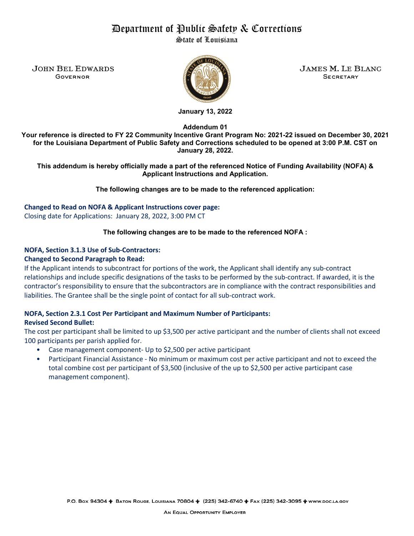# Department of Public Safety & Corrections

State of Louisiana

JOHN BEL EDWARDS **AND ARRIVAL SERVICE OF STATES M. LE BLANC** Governor Secretary



**January 13, 2022**

**Addendum 01**

**Your reference is directed to FY 22 Community Incentive Grant Program No: 2021-22 issued on December 30, 2021 for the Louisiana Department of Public Safety and Corrections scheduled to be opened at 3:00 P.M. CST on January 28, 2022.** 

**This addendum is hereby officially made a part of the referenced Notice of Funding Availability (NOFA) & Applicant Instructions and Application.**

**The following changes are to be made to the referenced application:**

**Changed to Read on NOFA & Applicant Instructions cover page:**  Closing date for Applications: January 28, 2022, 3:00 PM CT

# **The following changes are to be made to the referenced NOFA :**

# **NOFA, Section 3.1.3 Use of Sub-Contractors:**

## **Changed to Second Paragraph to Read:**

If the Applicant intends to subcontract for portions of the work, the Applicant shall identify any sub-contract relationships and include specific designations of the tasks to be performed by the sub-contract. If awarded, it is the contractor's responsibility to ensure that the subcontractors are in compliance with the contract responsibilities and liabilities. The Grantee shall be the single point of contact for all sub-contract work.

# **NOFA, Section 2.3.1 Cost Per Participant and Maximum Number of Participants:**

# **Revised Second Bullet:**

The cost per participant shall be limited to up \$3,500 per active participant and the number of clients shall not exceed 100 participants per parish applied for.

- Case management component- Up to \$2,500 per active participant
- Participant Financial Assistance No minimum or maximum cost per active participant and not to exceed the total combine cost per participant of \$3,500 (inclusive of the up to \$2,500 per active participant case management component).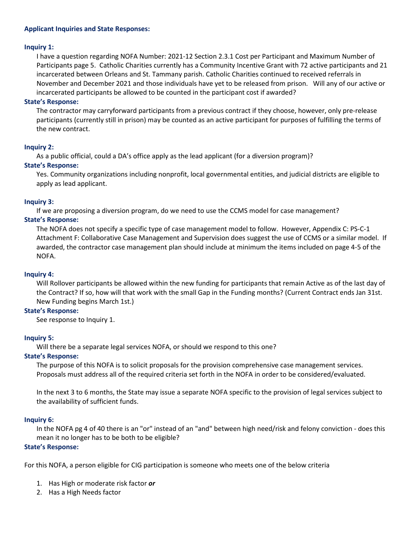#### **Applicant Inquiries and State Responses:**

## **Inquiry 1:**

I have a question regarding NOFA Number: 2021-12 Section 2.3.1 Cost per Participant and Maximum Number of Participants page 5. Catholic Charities currently has a Community Incentive Grant with 72 active participants and 21 incarcerated between Orleans and St. Tammany parish. Catholic Charities continued to received referrals in November and December 2021 and those individuals have yet to be released from prison. Will any of our active or incarcerated participants be allowed to be counted in the participant cost if awarded?

## **State's Response:**

The contractor may carryforward participants from a previous contract if they choose, however, only pre-release participants (currently still in prison) may be counted as an active participant for purposes of fulfilling the terms of the new contract.

# **Inquiry 2:**

As a public official, could a DA's office apply as the lead applicant (for a diversion program)?

# **State's Response:**

Yes. Community organizations including nonprofit, local governmental entities, and judicial districts are eligible to apply as lead applicant.

# **Inquiry 3:**

If we are proposing a diversion program, do we need to use the CCMS model for case management?

# **State's Response:**

The NOFA does not specify a specific type of case management model to follow. However, Appendix C: PS-C-1 Attachment F: Collaborative Case Management and Supervision does suggest the use of CCMS or a similar model. If awarded, the contractor case management plan should include at minimum the items included on page 4-5 of the NOFA.

# **Inquiry 4:**

Will Rollover participants be allowed within the new funding for participants that remain Active as of the last day of the Contract? If so, how will that work with the small Gap in the Funding months? (Current Contract ends Jan 31st. New Funding begins March 1st.)

# **State's Response:**

See response to Inquiry 1.

# **Inquiry 5:**

Will there be a separate legal services NOFA, or should we respond to this one?

#### **State's Response:**

The purpose of this NOFA is to solicit proposals for the provision comprehensive case management services. Proposals must address all of the required criteria set forth in the NOFA in order to be considered/evaluated.

In the next 3 to 6 months, the State may issue a separate NOFA specific to the provision of legal services subject to the availability of sufficient funds.

# **Inquiry 6:**

In the NOFA pg 4 of 40 there is an "or" instead of an "and" between high need/risk and felony conviction - does this mean it no longer has to be both to be eligible?

## **State's Response:**

For this NOFA, a person eligible for CIG participation is someone who meets one of the below criteria

- 1. Has High or moderate risk factor *or*
- 2. Has a High Needs factor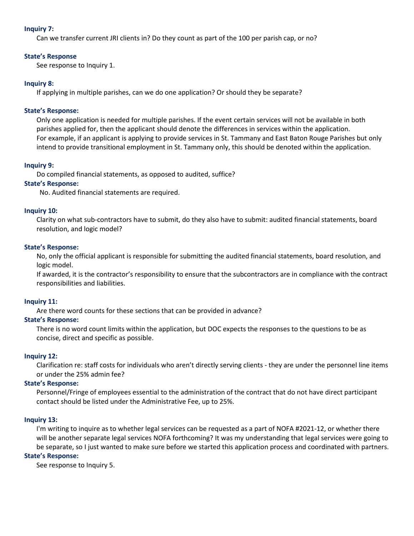## **Inquiry 7:**

Can we transfer current JRI clients in? Do they count as part of the 100 per parish cap, or no?

#### **State's Response**

See response to Inquiry 1.

## **Inquiry 8:**

If applying in multiple parishes, can we do one application? Or should they be separate?

## **State's Response:**

Only one application is needed for multiple parishes. If the event certain services will not be available in both parishes applied for, then the applicant should denote the differences in services within the application. For example, if an applicant is applying to provide services in St. Tammany and East Baton Rouge Parishes but only intend to provide transitional employment in St. Tammany only, this should be denoted within the application.

## **Inquiry 9:**

Do compiled financial statements, as opposed to audited, suffice?

## **State's Response:**

No. Audited financial statements are required.

## **Inquiry 10:**

Clarity on what sub-contractors have to submit, do they also have to submit: audited financial statements, board resolution, and logic model?

## **State's Response:**

No, only the official applicant is responsible for submitting the audited financial statements, board resolution, and logic model.

If awarded, it is the contractor's responsibility to ensure that the subcontractors are in compliance with the contract responsibilities and liabilities.

#### **Inquiry 11:**

Are there word counts for these sections that can be provided in advance?

# **State's Response:**

There is no word count limits within the application, but DOC expects the responses to the questions to be as concise, direct and specific as possible.

#### **Inquiry 12:**

Clarification re: staff costs for individuals who aren't directly serving clients - they are under the personnel line items or under the 25% admin fee?

# **State's Response:**

Personnel/Fringe of employees essential to the administration of the contract that do not have direct participant contact should be listed under the Administrative Fee, up to 25%.

# **Inquiry 13:**

I'm writing to inquire as to whether legal services can be requested as a part of NOFA #2021-12, or whether there will be another separate legal services NOFA forthcoming? It was my understanding that legal services were going to be separate, so I just wanted to make sure before we started this application process and coordinated with partners.

# **State's Response:**

See response to Inquiry 5.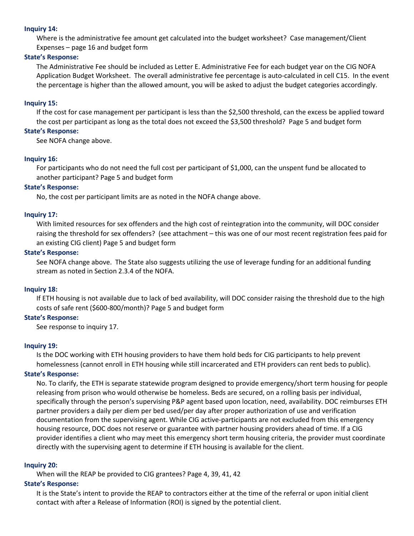#### **Inquiry 14:**

Where is the administrative fee amount get calculated into the budget worksheet? Case management/Client Expenses – page 16 and budget form

#### **State's Response:**

The Administrative Fee should be included as Letter E. Administrative Fee for each budget year on the CIG NOFA Application Budget Worksheet. The overall administrative fee percentage is auto-calculated in cell C15. In the event the percentage is higher than the allowed amount, you will be asked to adjust the budget categories accordingly.

#### **Inquiry 15:**

If the cost for case management per participant is less than the \$2,500 threshold, can the excess be applied toward the cost per participant as long as the total does not exceed the \$3,500 threshold? Page 5 and budget form

## **State's Response:**

See NOFA change above.

# **Inquiry 16:**

For participants who do not need the full cost per participant of \$1,000, can the unspent fund be allocated to another participant? Page 5 and budget form

## **State's Response:**

No, the cost per participant limits are as noted in the NOFA change above.

## **Inquiry 17:**

With limited resources for sex offenders and the high cost of reintegration into the community, will DOC consider raising the threshold for sex offenders? (see attachment – this was one of our most recent registration fees paid for an existing CIG client) Page 5 and budget form

#### **State's Response:**

See NOFA change above. The State also suggests utilizing the use of leverage funding for an additional funding stream as noted in Section 2.3.4 of the NOFA.

#### **Inquiry 18:**

If ETH housing is not available due to lack of bed availability, will DOC consider raising the threshold due to the high costs of safe rent (\$600-800/month)? Page 5 and budget form

#### **State's Response:**

See response to inquiry 17.

#### **Inquiry 19:**

Is the DOC working with ETH housing providers to have them hold beds for CIG participants to help prevent homelessness (cannot enroll in ETH housing while still incarcerated and ETH providers can rent beds to public).

#### **State's Response:**

No. To clarify, the ETH is separate statewide program designed to provide emergency/short term housing for people releasing from prison who would otherwise be homeless. Beds are secured, on a rolling basis per individual, specifically through the person's supervising P&P agent based upon location, need, availability. DOC reimburses ETH partner providers a daily per diem per bed used/per day after proper authorization of use and verification documentation from the supervising agent. While CIG active-participants are not excluded from this emergency housing resource, DOC does not reserve or guarantee with partner housing providers ahead of time. If a CIG provider identifies a client who may meet this emergency short term housing criteria, the provider must coordinate directly with the supervising agent to determine if ETH housing is available for the client.

#### **Inquiry 20:**

When will the REAP be provided to CIG grantees? Page 4, 39, 41, 42

# **State's Response:**

It is the State's intent to provide the REAP to contractors either at the time of the referral or upon initial client contact with after a Release of Information (ROI) is signed by the potential client.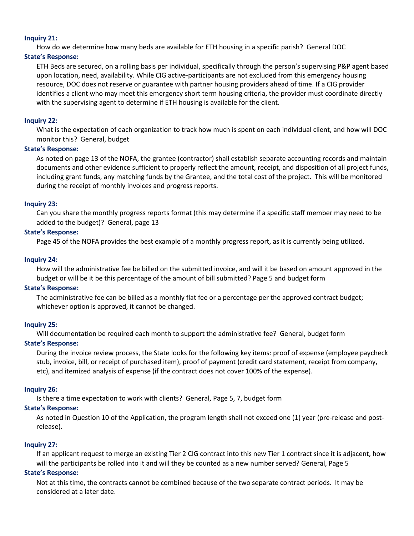#### **Inquiry 21:**

How do we determine how many beds are available for ETH housing in a specific parish? General DOC

#### **State's Response:**

ETH Beds are secured, on a rolling basis per individual, specifically through the person's supervising P&P agent based upon location, need, availability. While CIG active-participants are not excluded from this emergency housing resource, DOC does not reserve or guarantee with partner housing providers ahead of time. If a CIG provider identifies a client who may meet this emergency short term housing criteria, the provider must coordinate directly with the supervising agent to determine if ETH housing is available for the client.

## **Inquiry 22:**

What is the expectation of each organization to track how much is spent on each individual client, and how will DOC monitor this? General, budget

## **State's Response:**

As noted on page 13 of the NOFA, the grantee (contractor) shall establish separate accounting records and maintain documents and other evidence sufficient to properly reflect the amount, receipt, and disposition of all project funds, including grant funds, any matching funds by the Grantee, and the total cost of the project. This will be monitored during the receipt of monthly invoices and progress reports.

## **Inquiry 23:**

Can you share the monthly progress reports format (this may determine if a specific staff member may need to be added to the budget)? General, page 13

## **State's Response:**

Page 45 of the NOFA provides the best example of a monthly progress report, as it is currently being utilized.

## **Inquiry 24:**

How will the administrative fee be billed on the submitted invoice, and will it be based on amount approved in the budget or will be it be this percentage of the amount of bill submitted? Page 5 and budget form

# **State's Response:**

The administrative fee can be billed as a monthly flat fee or a percentage per the approved contract budget; whichever option is approved, it cannot be changed.

# **Inquiry 25:**

Will documentation be required each month to support the administrative fee? General, budget form

#### **State's Response:**

During the invoice review process, the State looks for the following key items: proof of expense (employee paycheck stub, invoice, bill, or receipt of purchased item), proof of payment (credit card statement, receipt from company, etc), and itemized analysis of expense (if the contract does not cover 100% of the expense).

#### **Inquiry 26:**

Is there a time expectation to work with clients? General, Page 5, 7, budget form

# **State's Response:**

As noted in Question 10 of the Application, the program length shall not exceed one (1) year (pre-release and postrelease).

# **Inquiry 27:**

If an applicant request to merge an existing Tier 2 CIG contract into this new Tier 1 contract since it is adjacent, how will the participants be rolled into it and will they be counted as a new number served? General, Page 5

#### **State's Response:**

Not at this time, the contracts cannot be combined because of the two separate contract periods. It may be considered at a later date.